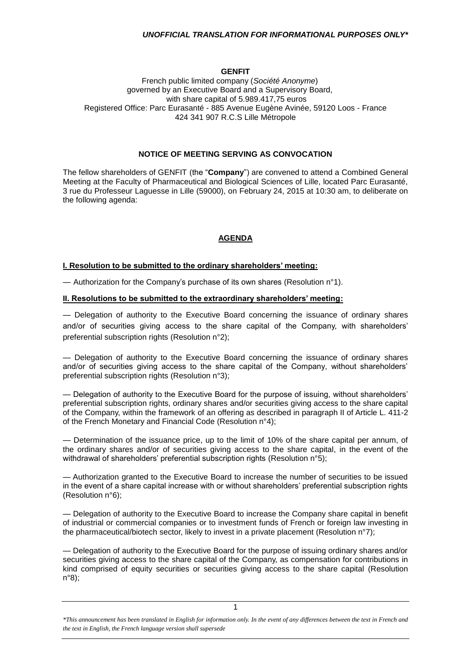## **GENFIT**

#### French public limited company (*Société Anonyme*) governed by an Executive Board and a Supervisory Board, with share capital of 5.989.417,75 euros Registered Office: Parc Eurasanté - 885 Avenue Eugène Avinée, 59120 Loos - France 424 341 907 R.C.S Lille Métropole

#### **NOTICE OF MEETING SERVING AS CONVOCATION**

The fellow shareholders of GENFIT (the "**Company**") are convened to attend a Combined General Meeting at the Faculty of Pharmaceutical and Biological Sciences of Lille, located Parc Eurasanté, 3 rue du Professeur Laguesse in Lille (59000), on February 24, 2015 at 10:30 am, to deliberate on the following agenda:

# **AGENDA**

#### **I. Resolution to be submitted to the ordinary shareholders' meeting:**

— Authorization for the Company's purchase of its own shares (Resolution n°1).

#### **II. Resolutions to be submitted to the extraordinary shareholders' meeting:**

— Delegation of authority to the Executive Board concerning the issuance of ordinary shares and/or of securities giving access to the share capital of the Company, with shareholders' preferential subscription rights (Resolution n°2);

— Delegation of authority to the Executive Board concerning the issuance of ordinary shares and/or of securities giving access to the share capital of the Company, without shareholders' preferential subscription rights (Resolution n°3);

— Delegation of authority to the Executive Board for the purpose of issuing, without shareholders' preferential subscription rights, ordinary shares and/or securities giving access to the share capital of the Company, within the framework of an offering as described in paragraph II of Article L. 411-2 of the French Monetary and Financial Code (Resolution n°4);

— Determination of the issuance price, up to the limit of 10% of the share capital per annum, of the ordinary shares and/or of securities giving access to the share capital, in the event of the withdrawal of shareholders' preferential subscription rights (Resolution n°5);

— Authorization granted to the Executive Board to increase the number of securities to be issued in the event of a share capital increase with or without shareholders' preferential subscription rights (Resolution n°6);

— Delegation of authority to the Executive Board to increase the Company share capital in benefit of industrial or commercial companies or to investment funds of French or foreign law investing in the pharmaceutical/biotech sector, likely to invest in a private placement (Resolution n°7);

— Delegation of authority to the Executive Board for the purpose of issuing ordinary shares and/or securities giving access to the share capital of the Company, as compensation for contributions in kind comprised of equity securities or securities giving access to the share capital (Resolution n°8);

*<sup>\*</sup>This announcement has been translated in English for information only. In the event of any differences between the text in French and the text in English, the French language version shall supersede*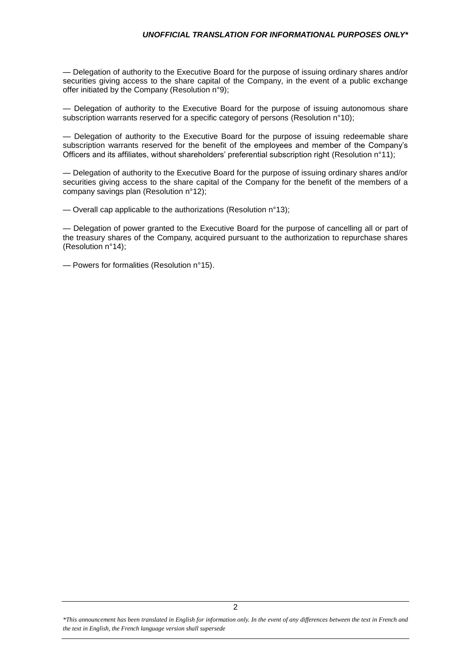— Delegation of authority to the Executive Board for the purpose of issuing ordinary shares and/or securities giving access to the share capital of the Company, in the event of a public exchange offer initiated by the Company (Resolution n°9);

— Delegation of authority to the Executive Board for the purpose of issuing autonomous share subscription warrants reserved for a specific category of persons (Resolution n°10);

— Delegation of authority to the Executive Board for the purpose of issuing redeemable share subscription warrants reserved for the benefit of the employees and member of the Company's Officers and its affiliates, without shareholders' preferential subscription right (Resolution n°11);

— Delegation of authority to the Executive Board for the purpose of issuing ordinary shares and/or securities giving access to the share capital of the Company for the benefit of the members of a company savings plan (Resolution n°12);

— Overall cap applicable to the authorizations (Resolution n°13);

— Delegation of power granted to the Executive Board for the purpose of cancelling all or part of the treasury shares of the Company, acquired pursuant to the authorization to repurchase shares (Resolution n°14);

— Powers for formalities (Resolution n°15).

*\*This announcement has been translated in English for information only. In the event of any differences between the text in French and the text in English, the French language version shall supersede*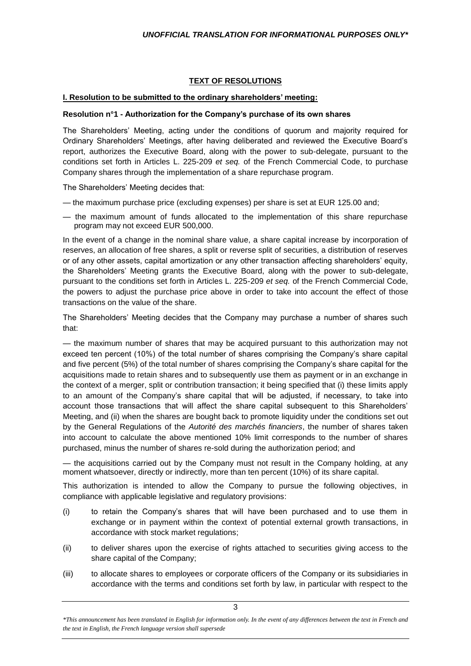# **TEXT OF RESOLUTIONS**

# **I. Resolution to be submitted to the ordinary shareholders' meeting:**

# **Resolution n°1 - Authorization for the Company's purchase of its own shares**

The Shareholders' Meeting, acting under the conditions of quorum and majority required for Ordinary Shareholders' Meetings, after having deliberated and reviewed the Executive Board's report, authorizes the Executive Board, along with the power to sub-delegate, pursuant to the conditions set forth in Articles L. 225-209 *et seq.* of the French Commercial Code, to purchase Company shares through the implementation of a share repurchase program.

The Shareholders' Meeting decides that:

- the maximum purchase price (excluding expenses) per share is set at EUR 125.00 and;
- the maximum amount of funds allocated to the implementation of this share repurchase program may not exceed EUR 500,000.

In the event of a change in the nominal share value, a share capital increase by incorporation of reserves, an allocation of free shares, a split or reverse split of securities, a distribution of reserves or of any other assets, capital amortization or any other transaction affecting shareholders' equity, the Shareholders' Meeting grants the Executive Board, along with the power to sub-delegate, pursuant to the conditions set forth in Articles L. 225-209 *et seq.* of the French Commercial Code, the powers to adjust the purchase price above in order to take into account the effect of those transactions on the value of the share.

The Shareholders' Meeting decides that the Company may purchase a number of shares such that:

— the maximum number of shares that may be acquired pursuant to this authorization may not exceed ten percent (10%) of the total number of shares comprising the Company's share capital and five percent (5%) of the total number of shares comprising the Company's share capital for the acquisitions made to retain shares and to subsequently use them as payment or in an exchange in the context of a merger, split or contribution transaction; it being specified that (i) these limits apply to an amount of the Company's share capital that will be adjusted, if necessary, to take into account those transactions that will affect the share capital subsequent to this Shareholders' Meeting, and (ii) when the shares are bought back to promote liquidity under the conditions set out by the General Regulations of the *Autorité des marchés financiers*, the number of shares taken into account to calculate the above mentioned 10% limit corresponds to the number of shares purchased, minus the number of shares re-sold during the authorization period; and

— the acquisitions carried out by the Company must not result in the Company holding, at any moment whatsoever, directly or indirectly, more than ten percent (10%) of its share capital.

This authorization is intended to allow the Company to pursue the following objectives, in compliance with applicable legislative and regulatory provisions:

- (i) to retain the Company's shares that will have been purchased and to use them in exchange or in payment within the context of potential external growth transactions, in accordance with stock market regulations;
- (ii) to deliver shares upon the exercise of rights attached to securities giving access to the share capital of the Company;
- (iii) to allocate shares to employees or corporate officers of the Company or its subsidiaries in accordance with the terms and conditions set forth by law, in particular with respect to the

*<sup>\*</sup>This announcement has been translated in English for information only. In the event of any differences between the text in French and the text in English, the French language version shall supersede*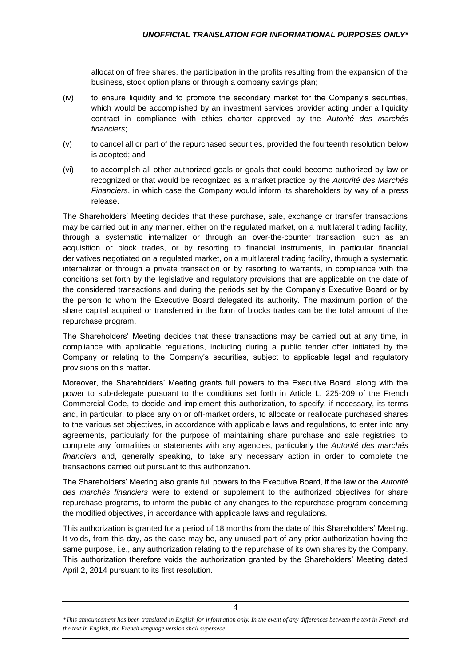allocation of free shares, the participation in the profits resulting from the expansion of the business, stock option plans or through a company savings plan;

- (iv) to ensure liquidity and to promote the secondary market for the Company's securities, which would be accomplished by an investment services provider acting under a liquidity contract in compliance with ethics charter approved by the *Autorité des marchés financiers*;
- (v) to cancel all or part of the repurchased securities, provided the fourteenth resolution below is adopted; and
- (vi) to accomplish all other authorized goals or goals that could become authorized by law or recognized or that would be recognized as a market practice by the *Autorité des Marchés Financiers*, in which case the Company would inform its shareholders by way of a press release.

The Shareholders' Meeting decides that these purchase, sale, exchange or transfer transactions may be carried out in any manner, either on the regulated market, on a multilateral trading facility, through a systematic internalizer or through an over-the-counter transaction, such as an acquisition or block trades, or by resorting to financial instruments, in particular financial derivatives negotiated on a regulated market, on a multilateral trading facility, through a systematic internalizer or through a private transaction or by resorting to warrants, in compliance with the conditions set forth by the legislative and regulatory provisions that are applicable on the date of the considered transactions and during the periods set by the Company's Executive Board or by the person to whom the Executive Board delegated its authority. The maximum portion of the share capital acquired or transferred in the form of blocks trades can be the total amount of the repurchase program.

The Shareholders' Meeting decides that these transactions may be carried out at any time, in compliance with applicable regulations, including during a public tender offer initiated by the Company or relating to the Company's securities, subject to applicable legal and regulatory provisions on this matter.

Moreover, the Shareholders' Meeting grants full powers to the Executive Board, along with the power to sub-delegate pursuant to the conditions set forth in Article L. 225-209 of the French Commercial Code, to decide and implement this authorization, to specify, if necessary, its terms and, in particular, to place any on or off-market orders, to allocate or reallocate purchased shares to the various set objectives, in accordance with applicable laws and regulations, to enter into any agreements, particularly for the purpose of maintaining share purchase and sale registries, to complete any formalities or statements with any agencies, particularly the *Autorité des marchés financiers* and, generally speaking, to take any necessary action in order to complete the transactions carried out pursuant to this authorization.

The Shareholders' Meeting also grants full powers to the Executive Board, if the law or the *Autorité des marchés financiers* were to extend or supplement to the authorized objectives for share repurchase programs, to inform the public of any changes to the repurchase program concerning the modified objectives, in accordance with applicable laws and regulations.

This authorization is granted for a period of 18 months from the date of this Shareholders' Meeting. It voids, from this day, as the case may be, any unused part of any prior authorization having the same purpose, i.e., any authorization relating to the repurchase of its own shares by the Company. This authorization therefore voids the authorization granted by the Shareholders' Meeting dated April 2, 2014 pursuant to its first resolution.

*<sup>\*</sup>This announcement has been translated in English for information only. In the event of any differences between the text in French and the text in English, the French language version shall supersede*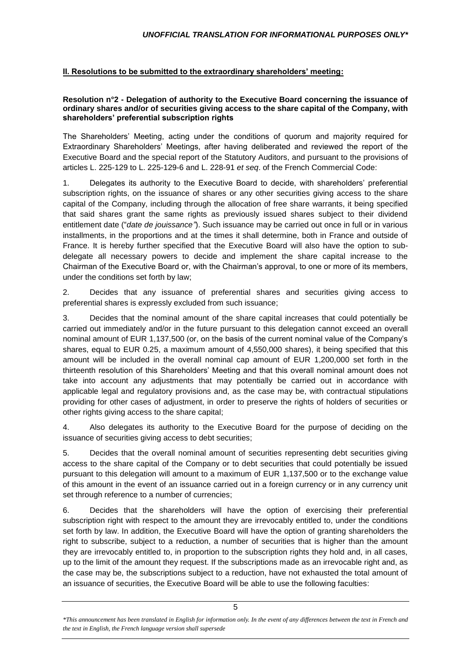# **II. Resolutions to be submitted to the extraordinary shareholders' meeting:**

## **Resolution n°2 - Delegation of authority to the Executive Board concerning the issuance of ordinary shares and/or of securities giving access to the share capital of the Company, with shareholders' preferential subscription rights**

The Shareholders' Meeting, acting under the conditions of quorum and majority required for Extraordinary Shareholders' Meetings, after having deliberated and reviewed the report of the Executive Board and the special report of the Statutory Auditors, and pursuant to the provisions of articles L. 225-129 to L. 225-129-6 and L. 228-91 *et seq*. of the French Commercial Code:

1. Delegates its authority to the Executive Board to decide, with shareholders' preferential subscription rights, on the issuance of shares or any other securities giving access to the share capital of the Company, including through the allocation of free share warrants, it being specified that said shares grant the same rights as previously issued shares subject to their dividend entitlement date ("*date de jouissance"*). Such issuance may be carried out once in full or in various installments, in the proportions and at the times it shall determine, both in France and outside of France. It is hereby further specified that the Executive Board will also have the option to subdelegate all necessary powers to decide and implement the share capital increase to the Chairman of the Executive Board or, with the Chairman's approval, to one or more of its members, under the conditions set forth by law;

2. Decides that any issuance of preferential shares and securities giving access to preferential shares is expressly excluded from such issuance;

3. Decides that the nominal amount of the share capital increases that could potentially be carried out immediately and/or in the future pursuant to this delegation cannot exceed an overall nominal amount of EUR 1,137,500 (or, on the basis of the current nominal value of the Company's shares, equal to EUR 0.25, a maximum amount of 4,550,000 shares), it being specified that this amount will be included in the overall nominal cap amount of EUR 1,200,000 set forth in the thirteenth resolution of this Shareholders' Meeting and that this overall nominal amount does not take into account any adjustments that may potentially be carried out in accordance with applicable legal and regulatory provisions and, as the case may be, with contractual stipulations providing for other cases of adjustment, in order to preserve the rights of holders of securities or other rights giving access to the share capital;

4. Also delegates its authority to the Executive Board for the purpose of deciding on the issuance of securities giving access to debt securities;

5. Decides that the overall nominal amount of securities representing debt securities giving access to the share capital of the Company or to debt securities that could potentially be issued pursuant to this delegation will amount to a maximum of EUR 1,137,500 or to the exchange value of this amount in the event of an issuance carried out in a foreign currency or in any currency unit set through reference to a number of currencies;

6. Decides that the shareholders will have the option of exercising their preferential subscription right with respect to the amount they are irrevocably entitled to, under the conditions set forth by law. In addition, the Executive Board will have the option of granting shareholders the right to subscribe, subject to a reduction, a number of securities that is higher than the amount they are irrevocably entitled to, in proportion to the subscription rights they hold and, in all cases, up to the limit of the amount they request. If the subscriptions made as an irrevocable right and, as the case may be, the subscriptions subject to a reduction, have not exhausted the total amount of an issuance of securities, the Executive Board will be able to use the following faculties:

*<sup>\*</sup>This announcement has been translated in English for information only. In the event of any differences between the text in French and the text in English, the French language version shall supersede*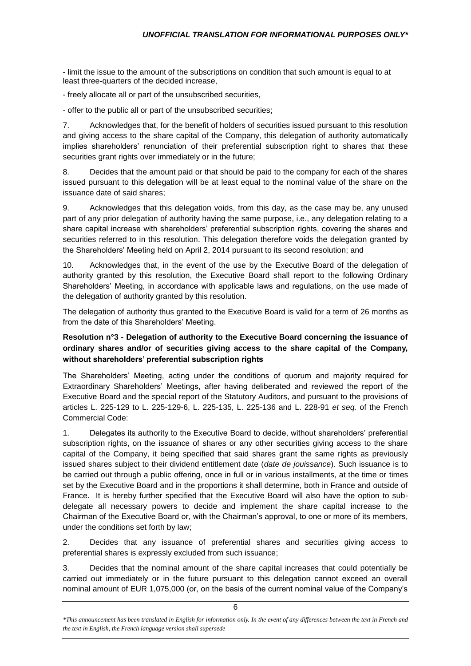- limit the issue to the amount of the subscriptions on condition that such amount is equal to at least three-quarters of the decided increase,

- freely allocate all or part of the unsubscribed securities,

- offer to the public all or part of the unsubscribed securities;

7. Acknowledges that, for the benefit of holders of securities issued pursuant to this resolution and giving access to the share capital of the Company, this delegation of authority automatically implies shareholders' renunciation of their preferential subscription right to shares that these securities grant rights over immediately or in the future;

8. Decides that the amount paid or that should be paid to the company for each of the shares issued pursuant to this delegation will be at least equal to the nominal value of the share on the issuance date of said shares;

9. Acknowledges that this delegation voids, from this day, as the case may be, any unused part of any prior delegation of authority having the same purpose, i.e., any delegation relating to a share capital increase with shareholders' preferential subscription rights, covering the shares and securities referred to in this resolution. This delegation therefore voids the delegation granted by the Shareholders' Meeting held on April 2, 2014 pursuant to its second resolution; and

10. Acknowledges that, in the event of the use by the Executive Board of the delegation of authority granted by this resolution, the Executive Board shall report to the following Ordinary Shareholders' Meeting, in accordance with applicable laws and regulations, on the use made of the delegation of authority granted by this resolution.

The delegation of authority thus granted to the Executive Board is valid for a term of 26 months as from the date of this Shareholders' Meeting.

# **Resolution n°3 - Delegation of authority to the Executive Board concerning the issuance of ordinary shares and/or of securities giving access to the share capital of the Company, without shareholders' preferential subscription rights**

The Shareholders' Meeting, acting under the conditions of quorum and majority required for Extraordinary Shareholders' Meetings, after having deliberated and reviewed the report of the Executive Board and the special report of the Statutory Auditors, and pursuant to the provisions of articles L. 225-129 to L. 225-129-6, L. 225-135, L. 225-136 and L. 228-91 *et seq.* of the French Commercial Code:

1. Delegates its authority to the Executive Board to decide, without shareholders' preferential subscription rights, on the issuance of shares or any other securities giving access to the share capital of the Company, it being specified that said shares grant the same rights as previously issued shares subject to their dividend entitlement date (*date de jouissance*). Such issuance is to be carried out through a public offering, once in full or in various installments, at the time or times set by the Executive Board and in the proportions it shall determine, both in France and outside of France. It is hereby further specified that the Executive Board will also have the option to subdelegate all necessary powers to decide and implement the share capital increase to the Chairman of the Executive Board or, with the Chairman's approval, to one or more of its members, under the conditions set forth by law;

2. Decides that any issuance of preferential shares and securities giving access to preferential shares is expressly excluded from such issuance;

3. Decides that the nominal amount of the share capital increases that could potentially be carried out immediately or in the future pursuant to this delegation cannot exceed an overall nominal amount of EUR 1,075,000 (or, on the basis of the current nominal value of the Company's

*<sup>\*</sup>This announcement has been translated in English for information only. In the event of any differences between the text in French and the text in English, the French language version shall supersede*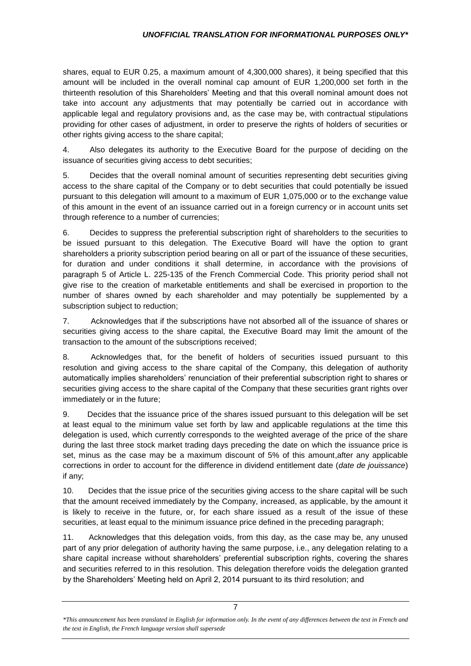shares, equal to EUR 0.25, a maximum amount of 4,300,000 shares), it being specified that this amount will be included in the overall nominal cap amount of EUR 1,200,000 set forth in the thirteenth resolution of this Shareholders' Meeting and that this overall nominal amount does not take into account any adjustments that may potentially be carried out in accordance with applicable legal and regulatory provisions and, as the case may be, with contractual stipulations providing for other cases of adjustment, in order to preserve the rights of holders of securities or other rights giving access to the share capital;

4. Also delegates its authority to the Executive Board for the purpose of deciding on the issuance of securities giving access to debt securities;

5. Decides that the overall nominal amount of securities representing debt securities giving access to the share capital of the Company or to debt securities that could potentially be issued pursuant to this delegation will amount to a maximum of EUR 1,075,000 or to the exchange value of this amount in the event of an issuance carried out in a foreign currency or in account units set through reference to a number of currencies;

6. Decides to suppress the preferential subscription right of shareholders to the securities to be issued pursuant to this delegation. The Executive Board will have the option to grant shareholders a priority subscription period bearing on all or part of the issuance of these securities, for duration and under conditions it shall determine, in accordance with the provisions of paragraph 5 of Article L. 225-135 of the French Commercial Code. This priority period shall not give rise to the creation of marketable entitlements and shall be exercised in proportion to the number of shares owned by each shareholder and may potentially be supplemented by a subscription subject to reduction;

7. Acknowledges that if the subscriptions have not absorbed all of the issuance of shares or securities giving access to the share capital, the Executive Board may limit the amount of the transaction to the amount of the subscriptions received;

8. Acknowledges that, for the benefit of holders of securities issued pursuant to this resolution and giving access to the share capital of the Company, this delegation of authority automatically implies shareholders' renunciation of their preferential subscription right to shares or securities giving access to the share capital of the Company that these securities grant rights over immediately or in the future;

9. Decides that the issuance price of the shares issued pursuant to this delegation will be set at least equal to the minimum value set forth by law and applicable regulations at the time this delegation is used, which currently corresponds to the weighted average of the price of the share during the last three stock market trading days preceding the date on which the issuance price is set, minus as the case may be a maximum discount of 5% of this amount,after any applicable corrections in order to account for the difference in dividend entitlement date (*date de jouissance*) if any;

10. Decides that the issue price of the securities giving access to the share capital will be such that the amount received immediately by the Company, increased, as applicable, by the amount it is likely to receive in the future, or, for each share issued as a result of the issue of these securities, at least equal to the minimum issuance price defined in the preceding paragraph;

11. Acknowledges that this delegation voids, from this day, as the case may be, any unused part of any prior delegation of authority having the same purpose, i.e., any delegation relating to a share capital increase without shareholders' preferential subscription rights, covering the shares and securities referred to in this resolution. This delegation therefore voids the delegation granted by the Shareholders' Meeting held on April 2, 2014 pursuant to its third resolution; and

*<sup>\*</sup>This announcement has been translated in English for information only. In the event of any differences between the text in French and the text in English, the French language version shall supersede*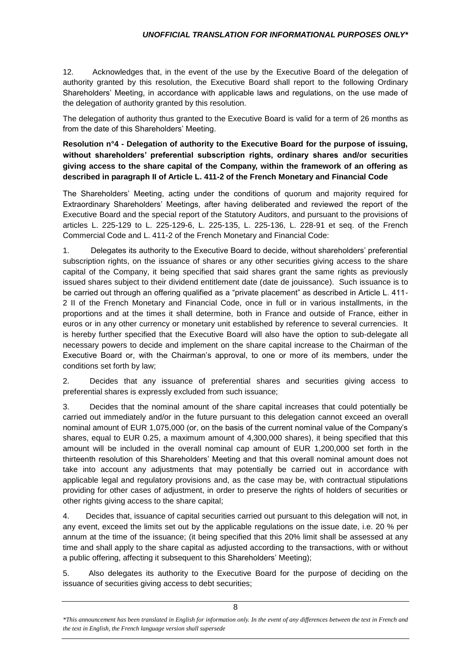12. Acknowledges that, in the event of the use by the Executive Board of the delegation of authority granted by this resolution, the Executive Board shall report to the following Ordinary Shareholders' Meeting, in accordance with applicable laws and regulations, on the use made of the delegation of authority granted by this resolution.

The delegation of authority thus granted to the Executive Board is valid for a term of 26 months as from the date of this Shareholders' Meeting.

**Resolution n°4 - Delegation of authority to the Executive Board for the purpose of issuing, without shareholders' preferential subscription rights, ordinary shares and/or securities giving access to the share capital of the Company, within the framework of an offering as described in paragraph II of Article L. 411-2 of the French Monetary and Financial Code**

The Shareholders' Meeting, acting under the conditions of quorum and majority required for Extraordinary Shareholders' Meetings, after having deliberated and reviewed the report of the Executive Board and the special report of the Statutory Auditors, and pursuant to the provisions of articles L. 225-129 to L. 225-129-6, L. 225-135, L. 225-136, L. 228-91 et seq. of the French Commercial Code and L. 411-2 of the French Monetary and Financial Code:

1. Delegates its authority to the Executive Board to decide, without shareholders' preferential subscription rights, on the issuance of shares or any other securities giving access to the share capital of the Company, it being specified that said shares grant the same rights as previously issued shares subject to their dividend entitlement date (date de jouissance). Such issuance is to be carried out through an offering qualified as a "private placement" as described in Article L. 411- 2 II of the French Monetary and Financial Code, once in full or in various installments, in the proportions and at the times it shall determine, both in France and outside of France, either in euros or in any other currency or monetary unit established by reference to several currencies. It is hereby further specified that the Executive Board will also have the option to sub-delegate all necessary powers to decide and implement on the share capital increase to the Chairman of the Executive Board or, with the Chairman's approval, to one or more of its members, under the conditions set forth by law;

2. Decides that any issuance of preferential shares and securities giving access to preferential shares is expressly excluded from such issuance;

3. Decides that the nominal amount of the share capital increases that could potentially be carried out immediately and/or in the future pursuant to this delegation cannot exceed an overall nominal amount of EUR 1,075,000 (or, on the basis of the current nominal value of the Company's shares, equal to EUR 0.25, a maximum amount of 4,300,000 shares), it being specified that this amount will be included in the overall nominal cap amount of EUR 1,200,000 set forth in the thirteenth resolution of this Shareholders' Meeting and that this overall nominal amount does not take into account any adjustments that may potentially be carried out in accordance with applicable legal and regulatory provisions and, as the case may be, with contractual stipulations providing for other cases of adjustment, in order to preserve the rights of holders of securities or other rights giving access to the share capital;

4. Decides that, issuance of capital securities carried out pursuant to this delegation will not, in any event, exceed the limits set out by the applicable regulations on the issue date, i.e. 20 % per annum at the time of the issuance; (it being specified that this 20% limit shall be assessed at any time and shall apply to the share capital as adjusted according to the transactions, with or without a public offering, affecting it subsequent to this Shareholders' Meeting);

5. Also delegates its authority to the Executive Board for the purpose of deciding on the issuance of securities giving access to debt securities;

*<sup>\*</sup>This announcement has been translated in English for information only. In the event of any differences between the text in French and the text in English, the French language version shall supersede*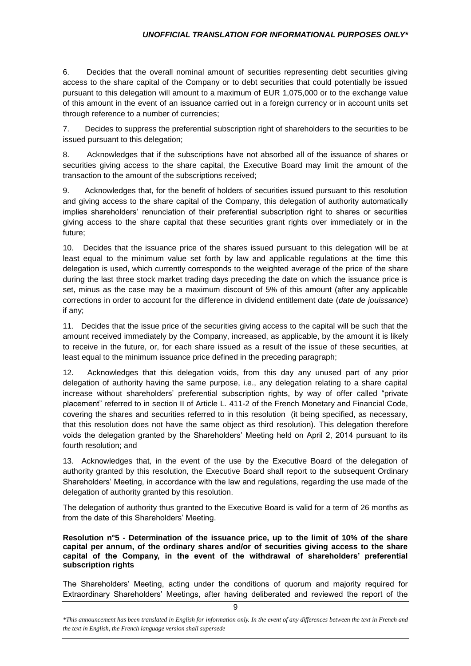6. Decides that the overall nominal amount of securities representing debt securities giving access to the share capital of the Company or to debt securities that could potentially be issued pursuant to this delegation will amount to a maximum of EUR 1,075,000 or to the exchange value of this amount in the event of an issuance carried out in a foreign currency or in account units set through reference to a number of currencies;

7. Decides to suppress the preferential subscription right of shareholders to the securities to be issued pursuant to this delegation;

8. Acknowledges that if the subscriptions have not absorbed all of the issuance of shares or securities giving access to the share capital, the Executive Board may limit the amount of the transaction to the amount of the subscriptions received;

9. Acknowledges that, for the benefit of holders of securities issued pursuant to this resolution and giving access to the share capital of the Company, this delegation of authority automatically implies shareholders' renunciation of their preferential subscription right to shares or securities giving access to the share capital that these securities grant rights over immediately or in the future;

10. Decides that the issuance price of the shares issued pursuant to this delegation will be at least equal to the minimum value set forth by law and applicable regulations at the time this delegation is used, which currently corresponds to the weighted average of the price of the share during the last three stock market trading days preceding the date on which the issuance price is set, minus as the case may be a maximum discount of 5% of this amount (after any applicable corrections in order to account for the difference in dividend entitlement date (*date de jouissance*) if any;

11. Decides that the issue price of the securities giving access to the capital will be such that the amount received immediately by the Company, increased, as applicable, by the amount it is likely to receive in the future, or, for each share issued as a result of the issue of these securities, at least equal to the minimum issuance price defined in the preceding paragraph;

12. Acknowledges that this delegation voids, from this day any unused part of any prior delegation of authority having the same purpose, i.e., any delegation relating to a share capital increase without shareholders' preferential subscription rights, by way of offer called "private placement" referred to in section II of Article L. 411-2 of the French Monetary and Financial Code, covering the shares and securities referred to in this resolution (it being specified, as necessary, that this resolution does not have the same object as third resolution). This delegation therefore voids the delegation granted by the Shareholders' Meeting held on April 2, 2014 pursuant to its fourth resolution; and

13. Acknowledges that, in the event of the use by the Executive Board of the delegation of authority granted by this resolution, the Executive Board shall report to the subsequent Ordinary Shareholders' Meeting, in accordance with the law and regulations, regarding the use made of the delegation of authority granted by this resolution.

The delegation of authority thus granted to the Executive Board is valid for a term of 26 months as from the date of this Shareholders' Meeting.

 **Resolution n°5 - Determination of the issuance price, up to the limit of 10% of the share capital per annum, of the ordinary shares and/or of securities giving access to the share capital of the Company, in the event of the withdrawal of shareholders' preferential subscription rights** 

The Shareholders' Meeting, acting under the conditions of quorum and majority required for Extraordinary Shareholders' Meetings, after having deliberated and reviewed the report of the

*<sup>\*</sup>This announcement has been translated in English for information only. In the event of any differences between the text in French and the text in English, the French language version shall supersede*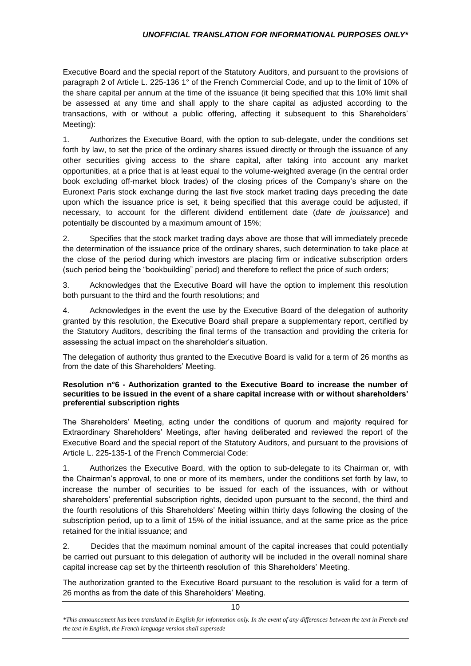Executive Board and the special report of the Statutory Auditors, and pursuant to the provisions of paragraph 2 of Article L. 225-136 1° of the French Commercial Code, and up to the limit of 10% of the share capital per annum at the time of the issuance (it being specified that this 10% limit shall be assessed at any time and shall apply to the share capital as adjusted according to the transactions, with or without a public offering, affecting it subsequent to this Shareholders' Meeting):

1. Authorizes the Executive Board, with the option to sub-delegate, under the conditions set forth by law, to set the price of the ordinary shares issued directly or through the issuance of any other securities giving access to the share capital, after taking into account any market opportunities, at a price that is at least equal to the volume-weighted average (in the central order book excluding off-market block trades) of the closing prices of the Company's share on the Euronext Paris stock exchange during the last five stock market trading days preceding the date upon which the issuance price is set, it being specified that this average could be adjusted, if necessary, to account for the different dividend entitlement date (*date de jouissance*) and potentially be discounted by a maximum amount of 15%;

2. Specifies that the stock market trading days above are those that will immediately precede the determination of the issuance price of the ordinary shares, such determination to take place at the close of the period during which investors are placing firm or indicative subscription orders (such period being the "bookbuilding" period) and therefore to reflect the price of such orders;

3. Acknowledges that the Executive Board will have the option to implement this resolution both pursuant to the third and the fourth resolutions; and

4. Acknowledges in the event the use by the Executive Board of the delegation of authority granted by this resolution, the Executive Board shall prepare a supplementary report, certified by the Statutory Auditors, describing the final terms of the transaction and providing the criteria for assessing the actual impact on the shareholder's situation.

The delegation of authority thus granted to the Executive Board is valid for a term of 26 months as from the date of this Shareholders' Meeting.

# **Resolution n°6 - Authorization granted to the Executive Board to increase the number of securities to be issued in the event of a share capital increase with or without shareholders' preferential subscription rights**

The Shareholders' Meeting, acting under the conditions of quorum and majority required for Extraordinary Shareholders' Meetings, after having deliberated and reviewed the report of the Executive Board and the special report of the Statutory Auditors, and pursuant to the provisions of Article L. 225-135-1 of the French Commercial Code:

1. Authorizes the Executive Board, with the option to sub-delegate to its Chairman or, with the Chairman's approval, to one or more of its members, under the conditions set forth by law, to increase the number of securities to be issued for each of the issuances, with or without shareholders' preferential subscription rights, decided upon pursuant to the second, the third and the fourth resolutions of this Shareholders' Meeting within thirty days following the closing of the subscription period, up to a limit of 15% of the initial issuance, and at the same price as the price retained for the initial issuance; and

2. Decides that the maximum nominal amount of the capital increases that could potentially be carried out pursuant to this delegation of authority will be included in the overall nominal share capital increase cap set by the thirteenth resolution of this Shareholders' Meeting.

The authorization granted to the Executive Board pursuant to the resolution is valid for a term of 26 months as from the date of this Shareholders' Meeting.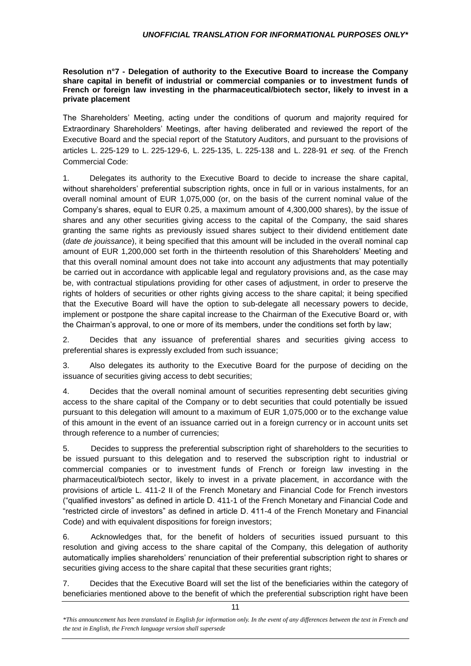#### **Resolution n°7 - Delegation of authority to the Executive Board to increase the Company share capital in benefit of industrial or commercial companies or to investment funds of French or foreign law investing in the pharmaceutical/biotech sector, likely to invest in a private placement**

The Shareholders' Meeting, acting under the conditions of quorum and majority required for Extraordinary Shareholders' Meetings, after having deliberated and reviewed the report of the Executive Board and the special report of the Statutory Auditors, and pursuant to the provisions of articles L. 225-129 to L. 225-129-6, L. 225-135, L. 225-138 and L. 228-91 *et seq.* of the French Commercial Code:

1. Delegates its authority to the Executive Board to decide to increase the share capital, without shareholders' preferential subscription rights, once in full or in various instalments, for an overall nominal amount of EUR 1,075,000 (or, on the basis of the current nominal value of the Company's shares, equal to EUR 0.25, a maximum amount of 4,300,000 shares), by the issue of shares and any other securities giving access to the capital of the Company, the said shares granting the same rights as previously issued shares subject to their dividend entitlement date (*date de jouissance*), it being specified that this amount will be included in the overall nominal cap amount of EUR 1,200,000 set forth in the thirteenth resolution of this Shareholders' Meeting and that this overall nominal amount does not take into account any adjustments that may potentially be carried out in accordance with applicable legal and regulatory provisions and, as the case may be, with contractual stipulations providing for other cases of adjustment, in order to preserve the rights of holders of securities or other rights giving access to the share capital; it being specified that the Executive Board will have the option to sub-delegate all necessary powers to decide, implement or postpone the share capital increase to the Chairman of the Executive Board or, with the Chairman's approval, to one or more of its members, under the conditions set forth by law;

2. Decides that any issuance of preferential shares and securities giving access to preferential shares is expressly excluded from such issuance;

3. Also delegates its authority to the Executive Board for the purpose of deciding on the issuance of securities giving access to debt securities;

4. Decides that the overall nominal amount of securities representing debt securities giving access to the share capital of the Company or to debt securities that could potentially be issued pursuant to this delegation will amount to a maximum of EUR 1,075,000 or to the exchange value of this amount in the event of an issuance carried out in a foreign currency or in account units set through reference to a number of currencies;

5. Decides to suppress the preferential subscription right of shareholders to the securities to be issued pursuant to this delegation and to reserved the subscription right to industrial or commercial companies or to investment funds of French or foreign law investing in the pharmaceutical/biotech sector, likely to invest in a private placement, in accordance with the provisions of article L. 411-2 II of the French Monetary and Financial Code for French investors ("qualified investors" as defined in article D. 411-1 of the French Monetary and Financial Code and "restricted circle of investors" as defined in article D. 411-4 of the French Monetary and Financial Code) and with equivalent dispositions for foreign investors;

6. Acknowledges that, for the benefit of holders of securities issued pursuant to this resolution and giving access to the share capital of the Company, this delegation of authority automatically implies shareholders' renunciation of their preferential subscription right to shares or securities giving access to the share capital that these securities grant rights;

7. Decides that the Executive Board will set the list of the beneficiaries within the category of beneficiaries mentioned above to the benefit of which the preferential subscription right have been

*<sup>\*</sup>This announcement has been translated in English for information only. In the event of any differences between the text in French and the text in English, the French language version shall supersede*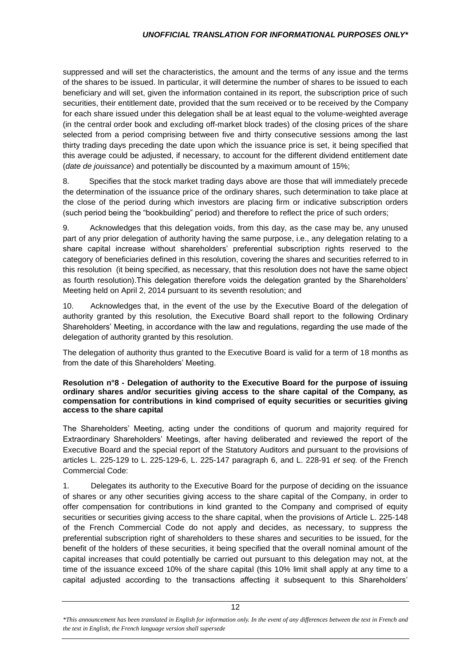suppressed and will set the characteristics, the amount and the terms of any issue and the terms of the shares to be issued. In particular, it will determine the number of shares to be issued to each beneficiary and will set, given the information contained in its report, the subscription price of such securities, their entitlement date, provided that the sum received or to be received by the Company for each share issued under this delegation shall be at least equal to the volume-weighted average (in the central order book and excluding off-market block trades) of the closing prices of the share selected from a period comprising between five and thirty consecutive sessions among the last thirty trading days preceding the date upon which the issuance price is set, it being specified that this average could be adjusted, if necessary, to account for the different dividend entitlement date (*date de jouissance*) and potentially be discounted by a maximum amount of 15%;

8. Specifies that the stock market trading days above are those that will immediately precede the determination of the issuance price of the ordinary shares, such determination to take place at the close of the period during which investors are placing firm or indicative subscription orders (such period being the "bookbuilding" period) and therefore to reflect the price of such orders;

9. Acknowledges that this delegation voids, from this day, as the case may be, any unused part of any prior delegation of authority having the same purpose, i.e., any delegation relating to a share capital increase without shareholders' preferential subscription rights reserved to the category of beneficiaries defined in this resolution, covering the shares and securities referred to in this resolution (it being specified, as necessary, that this resolution does not have the same object as fourth resolution).This delegation therefore voids the delegation granted by the Shareholders' Meeting held on April 2, 2014 pursuant to its seventh resolution; and

10. Acknowledges that, in the event of the use by the Executive Board of the delegation of authority granted by this resolution, the Executive Board shall report to the following Ordinary Shareholders' Meeting, in accordance with the law and regulations, regarding the use made of the delegation of authority granted by this resolution.

The delegation of authority thus granted to the Executive Board is valid for a term of 18 months as from the date of this Shareholders' Meeting.

#### **Resolution n°8 - Delegation of authority to the Executive Board for the purpose of issuing ordinary shares and/or securities giving access to the share capital of the Company, as compensation for contributions in kind comprised of equity securities or securities giving access to the share capital**

The Shareholders' Meeting, acting under the conditions of quorum and majority required for Extraordinary Shareholders' Meetings, after having deliberated and reviewed the report of the Executive Board and the special report of the Statutory Auditors and pursuant to the provisions of articles L. 225-129 to L. 225-129-6, L. 225-147 paragraph 6, and L. 228-91 *et seq.* of the French Commercial Code:

1. Delegates its authority to the Executive Board for the purpose of deciding on the issuance of shares or any other securities giving access to the share capital of the Company, in order to offer compensation for contributions in kind granted to the Company and comprised of equity securities or securities giving access to the share capital, when the provisions of Article L. 225-148 of the French Commercial Code do not apply and decides, as necessary, to suppress the preferential subscription right of shareholders to these shares and securities to be issued, for the benefit of the holders of these securities, it being specified that the overall nominal amount of the capital increases that could potentially be carried out pursuant to this delegation may not, at the time of the issuance exceed 10% of the share capital (this 10% limit shall apply at any time to a capital adjusted according to the transactions affecting it subsequent to this Shareholders'

*<sup>\*</sup>This announcement has been translated in English for information only. In the event of any differences between the text in French and the text in English, the French language version shall supersede*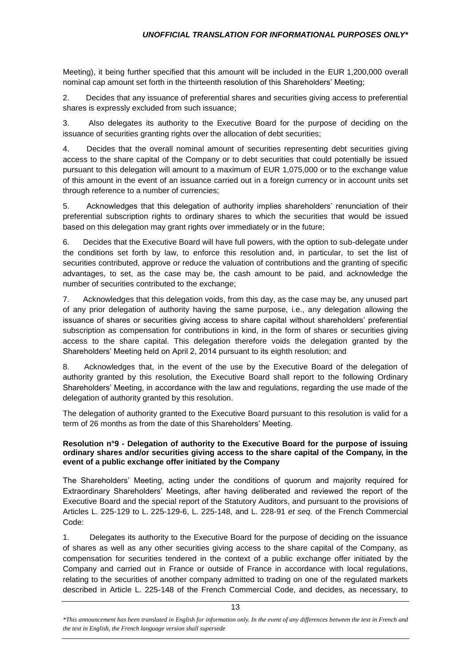Meeting), it being further specified that this amount will be included in the EUR 1,200,000 overall nominal cap amount set forth in the thirteenth resolution of this Shareholders' Meeting;

2. Decides that any issuance of preferential shares and securities giving access to preferential shares is expressly excluded from such issuance;

3. Also delegates its authority to the Executive Board for the purpose of deciding on the issuance of securities granting rights over the allocation of debt securities;

4. Decides that the overall nominal amount of securities representing debt securities giving access to the share capital of the Company or to debt securities that could potentially be issued pursuant to this delegation will amount to a maximum of EUR 1,075,000 or to the exchange value of this amount in the event of an issuance carried out in a foreign currency or in account units set through reference to a number of currencies;

5. Acknowledges that this delegation of authority implies shareholders' renunciation of their preferential subscription rights to ordinary shares to which the securities that would be issued based on this delegation may grant rights over immediately or in the future;

6. Decides that the Executive Board will have full powers, with the option to sub-delegate under the conditions set forth by law, to enforce this resolution and, in particular, to set the list of securities contributed, approve or reduce the valuation of contributions and the granting of specific advantages, to set, as the case may be, the cash amount to be paid, and acknowledge the number of securities contributed to the exchange;

7. Acknowledges that this delegation voids, from this day, as the case may be, any unused part of any prior delegation of authority having the same purpose, i.e., any delegation allowing the issuance of shares or securities giving access to share capital without shareholders' preferential subscription as compensation for contributions in kind, in the form of shares or securities giving access to the share capital. This delegation therefore voids the delegation granted by the Shareholders' Meeting held on April 2, 2014 pursuant to its eighth resolution; and

8. Acknowledges that, in the event of the use by the Executive Board of the delegation of authority granted by this resolution, the Executive Board shall report to the following Ordinary Shareholders' Meeting, in accordance with the law and regulations, regarding the use made of the delegation of authority granted by this resolution.

The delegation of authority granted to the Executive Board pursuant to this resolution is valid for a term of 26 months as from the date of this Shareholders' Meeting.

## **Resolution n°9 - Delegation of authority to the Executive Board for the purpose of issuing ordinary shares and/or securities giving access to the share capital of the Company, in the event of a public exchange offer initiated by the Company**

The Shareholders' Meeting, acting under the conditions of quorum and majority required for Extraordinary Shareholders' Meetings, after having deliberated and reviewed the report of the Executive Board and the special report of the Statutory Auditors, and pursuant to the provisions of Articles L. 225-129 to L. 225-129-6, L. 225-148, and L. 228-91 *et seq.* of the French Commercial Code:

1. Delegates its authority to the Executive Board for the purpose of deciding on the issuance of shares as well as any other securities giving access to the share capital of the Company, as compensation for securities tendered in the context of a public exchange offer initiated by the Company and carried out in France or outside of France in accordance with local regulations, relating to the securities of another company admitted to trading on one of the regulated markets described in Article L. 225-148 of the French Commercial Code, and decides, as necessary, to

*<sup>\*</sup>This announcement has been translated in English for information only. In the event of any differences between the text in French and the text in English, the French language version shall supersede*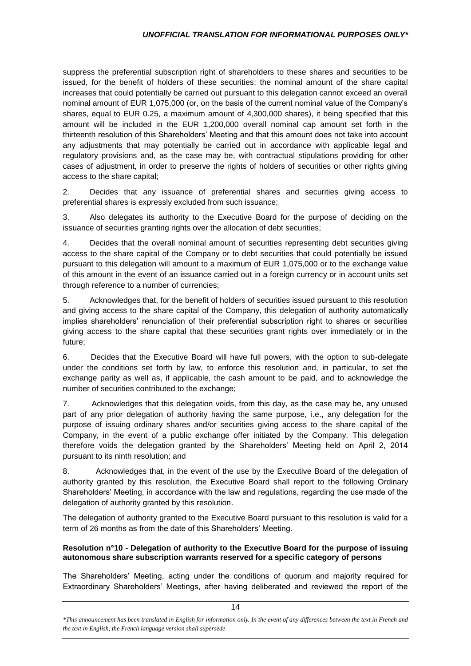suppress the preferential subscription right of shareholders to these shares and securities to be issued, for the benefit of holders of these securities; the nominal amount of the share capital increases that could potentially be carried out pursuant to this delegation cannot exceed an overall nominal amount of EUR 1,075,000 (or, on the basis of the current nominal value of the Company's shares, equal to EUR 0.25, a maximum amount of 4,300,000 shares), it being specified that this amount will be included in the EUR 1,200,000 overall nominal cap amount set forth in the thirteenth resolution of this Shareholders' Meeting and that this amount does not take into account any adjustments that may potentially be carried out in accordance with applicable legal and regulatory provisions and, as the case may be, with contractual stipulations providing for other cases of adjustment, in order to preserve the rights of holders of securities or other rights giving access to the share capital;

2. Decides that any issuance of preferential shares and securities giving access to preferential shares is expressly excluded from such issuance;

3. Also delegates its authority to the Executive Board for the purpose of deciding on the issuance of securities granting rights over the allocation of debt securities;

4. Decides that the overall nominal amount of securities representing debt securities giving access to the share capital of the Company or to debt securities that could potentially be issued pursuant to this delegation will amount to a maximum of EUR 1,075,000 or to the exchange value of this amount in the event of an issuance carried out in a foreign currency or in account units set through reference to a number of currencies;

5. Acknowledges that, for the benefit of holders of securities issued pursuant to this resolution and giving access to the share capital of the Company, this delegation of authority automatically implies shareholders' renunciation of their preferential subscription right to shares or securities giving access to the share capital that these securities grant rights over immediately or in the future;

6. Decides that the Executive Board will have full powers, with the option to sub-delegate under the conditions set forth by law, to enforce this resolution and, in particular, to set the exchange parity as well as, if applicable, the cash amount to be paid, and to acknowledge the number of securities contributed to the exchange;

7. Acknowledges that this delegation voids, from this day, as the case may be, any unused part of any prior delegation of authority having the same purpose, i.e., any delegation for the purpose of issuing ordinary shares and/or securities giving access to the share capital of the Company, in the event of a public exchange offer initiated by the Company. This delegation therefore voids the delegation granted by the Shareholders' Meeting held on April 2, 2014 pursuant to its ninth resolution; and

8. Acknowledges that, in the event of the use by the Executive Board of the delegation of authority granted by this resolution, the Executive Board shall report to the following Ordinary Shareholders' Meeting, in accordance with the law and regulations, regarding the use made of the delegation of authority granted by this resolution.

The delegation of authority granted to the Executive Board pursuant to this resolution is valid for a term of 26 months as from the date of this Shareholders' Meeting.

## **Resolution n°10 - Delegation of authority to the Executive Board for the purpose of issuing autonomous share subscription warrants reserved for a specific category of persons**

The Shareholders' Meeting, acting under the conditions of quorum and majority required for Extraordinary Shareholders' Meetings, after having deliberated and reviewed the report of the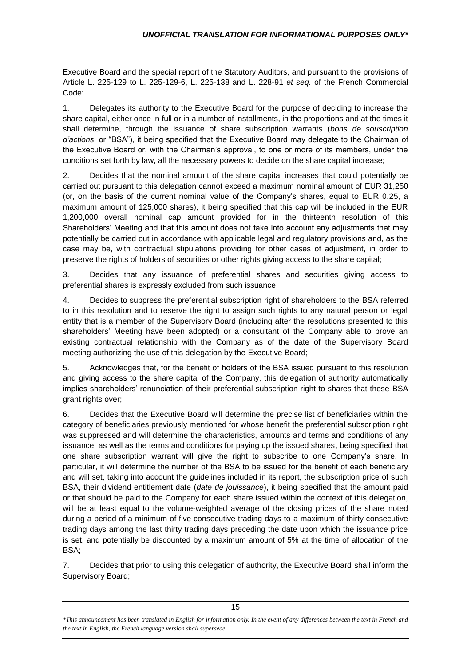Executive Board and the special report of the Statutory Auditors, and pursuant to the provisions of Article L. 225-129 to L. 225-129-6, L. 225-138 and L. 228-91 *et seq.* of the French Commercial Code:

1. Delegates its authority to the Executive Board for the purpose of deciding to increase the share capital, either once in full or in a number of installments, in the proportions and at the times it shall determine, through the issuance of share subscription warrants (*bons de souscription d'actions*, or "BSA"), it being specified that the Executive Board may delegate to the Chairman of the Executive Board or, with the Chairman's approval, to one or more of its members, under the conditions set forth by law, all the necessary powers to decide on the share capital increase;

2. Decides that the nominal amount of the share capital increases that could potentially be carried out pursuant to this delegation cannot exceed a maximum nominal amount of EUR 31,250 (or, on the basis of the current nominal value of the Company's shares, equal to EUR 0.25, a maximum amount of 125,000 shares), it being specified that this cap will be included in the EUR 1,200,000 overall nominal cap amount provided for in the thirteenth resolution of this Shareholders' Meeting and that this amount does not take into account any adjustments that may potentially be carried out in accordance with applicable legal and regulatory provisions and, as the case may be, with contractual stipulations providing for other cases of adjustment, in order to preserve the rights of holders of securities or other rights giving access to the share capital;

3. Decides that any issuance of preferential shares and securities giving access to preferential shares is expressly excluded from such issuance;

4. Decides to suppress the preferential subscription right of shareholders to the BSA referred to in this resolution and to reserve the right to assign such rights to any natural person or legal entity that is a member of the Supervisory Board (including after the resolutions presented to this shareholders' Meeting have been adopted) or a consultant of the Company able to prove an existing contractual relationship with the Company as of the date of the Supervisory Board meeting authorizing the use of this delegation by the Executive Board;

5. Acknowledges that, for the benefit of holders of the BSA issued pursuant to this resolution and giving access to the share capital of the Company, this delegation of authority automatically implies shareholders' renunciation of their preferential subscription right to shares that these BSA grant rights over;

6. Decides that the Executive Board will determine the precise list of beneficiaries within the category of beneficiaries previously mentioned for whose benefit the preferential subscription right was suppressed and will determine the characteristics, amounts and terms and conditions of any issuance, as well as the terms and conditions for paying up the issued shares, being specified that one share subscription warrant will give the right to subscribe to one Company's share. In particular, it will determine the number of the BSA to be issued for the benefit of each beneficiary and will set, taking into account the guidelines included in its report, the subscription price of such BSA, their dividend entitlement date (*date de jouissance*), it being specified that the amount paid or that should be paid to the Company for each share issued within the context of this delegation, will be at least equal to the volume-weighted average of the closing prices of the share noted during a period of a minimum of five consecutive trading days to a maximum of thirty consecutive trading days among the last thirty trading days preceding the date upon which the issuance price is set, and potentially be discounted by a maximum amount of 5% at the time of allocation of the BSA;

7. Decides that prior to using this delegation of authority, the Executive Board shall inform the Supervisory Board;

*<sup>\*</sup>This announcement has been translated in English for information only. In the event of any differences between the text in French and the text in English, the French language version shall supersede*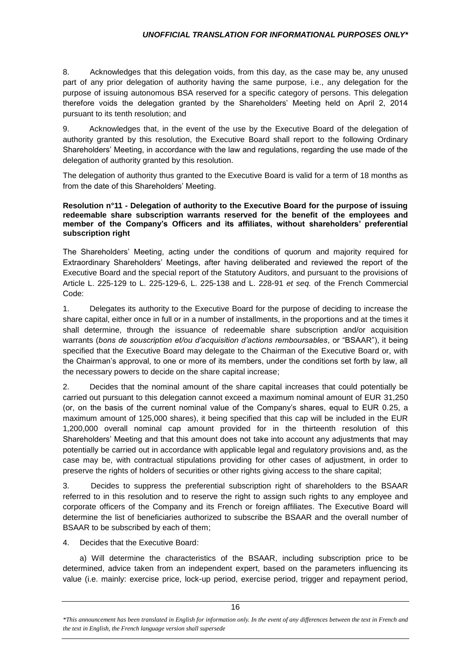8. Acknowledges that this delegation voids, from this day, as the case may be, any unused part of any prior delegation of authority having the same purpose, i.e., any delegation for the purpose of issuing autonomous BSA reserved for a specific category of persons. This delegation therefore voids the delegation granted by the Shareholders' Meeting held on April 2, 2014 pursuant to its tenth resolution; and

9. Acknowledges that, in the event of the use by the Executive Board of the delegation of authority granted by this resolution, the Executive Board shall report to the following Ordinary Shareholders' Meeting, in accordance with the law and regulations, regarding the use made of the delegation of authority granted by this resolution.

The delegation of authority thus granted to the Executive Board is valid for a term of 18 months as from the date of this Shareholders' Meeting.

#### **Resolution n°11 - Delegation of authority to the Executive Board for the purpose of issuing redeemable share subscription warrants reserved for the benefit of the employees and member of the Company's Officers and its affiliates, without shareholders' preferential subscription right**

The Shareholders' Meeting, acting under the conditions of quorum and majority required for Extraordinary Shareholders' Meetings, after having deliberated and reviewed the report of the Executive Board and the special report of the Statutory Auditors, and pursuant to the provisions of Article L. 225-129 to L. 225-129-6, L. 225-138 and L. 228-91 *et seq.* of the French Commercial Code:

1. Delegates its authority to the Executive Board for the purpose of deciding to increase the share capital, either once in full or in a number of installments, in the proportions and at the times it shall determine, through the issuance of redeemable share subscription and/or acquisition warrants (*bons de souscription et/ou d'acquisition d'actions remboursables*, or "BSAAR"), it being specified that the Executive Board may delegate to the Chairman of the Executive Board or, with the Chairman's approval, to one or more of its members, under the conditions set forth by law, all the necessary powers to decide on the share capital increase;

2. Decides that the nominal amount of the share capital increases that could potentially be carried out pursuant to this delegation cannot exceed a maximum nominal amount of EUR 31,250 (or, on the basis of the current nominal value of the Company's shares, equal to EUR 0.25, a maximum amount of 125,000 shares), it being specified that this cap will be included in the EUR 1,200,000 overall nominal cap amount provided for in the thirteenth resolution of this Shareholders' Meeting and that this amount does not take into account any adjustments that may potentially be carried out in accordance with applicable legal and regulatory provisions and, as the case may be, with contractual stipulations providing for other cases of adjustment, in order to preserve the rights of holders of securities or other rights giving access to the share capital;

3. Decides to suppress the preferential subscription right of shareholders to the BSAAR referred to in this resolution and to reserve the right to assign such rights to any employee and corporate officers of the Company and its French or foreign affiliates. The Executive Board will determine the list of beneficiaries authorized to subscribe the BSAAR and the overall number of BSAAR to be subscribed by each of them;

4. Decides that the Executive Board:

a) Will determine the characteristics of the BSAAR, including subscription price to be determined, advice taken from an independent expert, based on the parameters influencing its value (i.e. mainly: exercise price, lock-up period, exercise period, trigger and repayment period,

*<sup>\*</sup>This announcement has been translated in English for information only. In the event of any differences between the text in French and the text in English, the French language version shall supersede*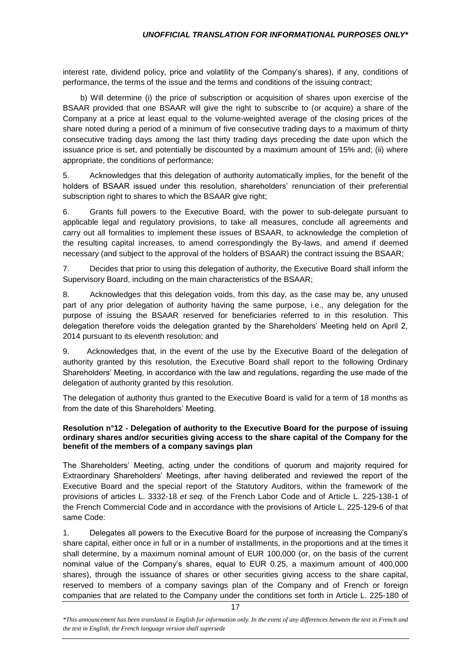interest rate, dividend policy, price and volatility of the Company's shares), if any, conditions of performance, the terms of the issue and the terms and conditions of the issuing contract;

 b) Will determine (i) the price of subscription or acquisition of shares upon exercise of the BSAAR provided that one BSAAR will give the right to subscribe to (or acquire) a share of the Company at a price at least equal to the volume-weighted average of the closing prices of the share noted during a period of a minimum of five consecutive trading days to a maximum of thirty consecutive trading days among the last thirty trading days preceding the date upon which the issuance price is set, and potentially be discounted by a maximum amount of 15% and; (ii) where appropriate, the conditions of performance;

5. Acknowledges that this delegation of authority automatically implies, for the benefit of the holders of BSAAR issued under this resolution, shareholders' renunciation of their preferential subscription right to shares to which the BSAAR give right;

6. Grants full powers to the Executive Board, with the power to sub-delegate pursuant to applicable legal and regulatory provisions, to take all measures, conclude all agreements and carry out all formalities to implement these issues of BSAAR, to acknowledge the completion of the resulting capital increases, to amend correspondingly the By-laws, and amend if deemed necessary (and subject to the approval of the holders of BSAAR) the contract issuing the BSAAR;

7. Decides that prior to using this delegation of authority, the Executive Board shall inform the Supervisory Board, including on the main characteristics of the BSAAR;

8. Acknowledges that this delegation voids, from this day, as the case may be, any unused part of any prior delegation of authority having the same purpose, i.e., any delegation for the purpose of issuing the BSAAR reserved for beneficiaries referred to in this resolution. This delegation therefore voids the delegation granted by the Shareholders' Meeting held on April 2, 2014 pursuant to its eleventh resolution; and

9. Acknowledges that, in the event of the use by the Executive Board of the delegation of authority granted by this resolution, the Executive Board shall report to the following Ordinary Shareholders' Meeting, in accordance with the law and regulations, regarding the use made of the delegation of authority granted by this resolution.

The delegation of authority thus granted to the Executive Board is valid for a term of 18 months as from the date of this Shareholders' Meeting.

#### **Resolution n°12 - Delegation of authority to the Executive Board for the purpose of issuing ordinary shares and/or securities giving access to the share capital of the Company for the benefit of the members of a company savings plan**

The Shareholders' Meeting, acting under the conditions of quorum and majority required for Extraordinary Shareholders' Meetings, after having deliberated and reviewed the report of the Executive Board and the special report of the Statutory Auditors, within the framework of the provisions of articles L. 3332-18 *et seq.* of the French Labor Code and of Article L. 225-138-1 of the French Commercial Code and in accordance with the provisions of Article L. 225-129-6 of that same Code:

1. Delegates all powers to the Executive Board for the purpose of increasing the Company's share capital, either once in full or in a number of installments, in the proportions and at the times it shall determine, by a maximum nominal amount of EUR 100,000 (or, on the basis of the current nominal value of the Company's shares, equal to EUR 0.25, a maximum amount of 400,000 shares), through the issuance of shares or other securities giving access to the share capital, reserved to members of a company savings plan of the Company and of French or foreign companies that are related to the Company under the conditions set forth in Article L. 225-180 of

*<sup>\*</sup>This announcement has been translated in English for information only. In the event of any differences between the text in French and the text in English, the French language version shall supersede*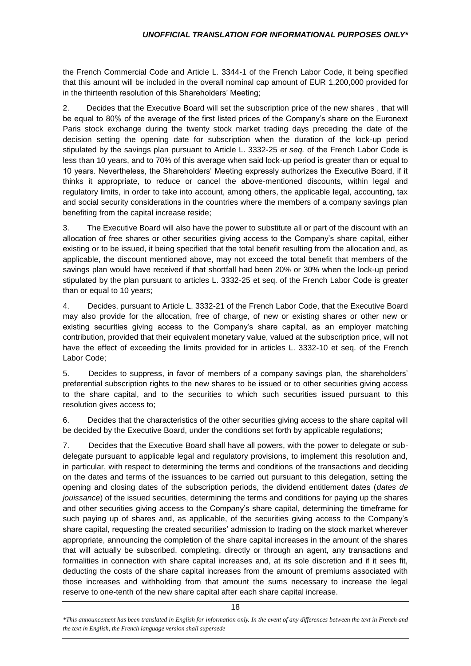the French Commercial Code and Article L. 3344-1 of the French Labor Code, it being specified that this amount will be included in the overall nominal cap amount of EUR 1,200,000 provided for in the thirteenth resolution of this Shareholders' Meeting;

2. Decides that the Executive Board will set the subscription price of the new shares , that will be equal to 80% of the average of the first listed prices of the Company's share on the Euronext Paris stock exchange during the twenty stock market trading days preceding the date of the decision setting the opening date for subscription when the duration of the lock-up period stipulated by the savings plan pursuant to Article L. 3332-25 *et seq.* of the French Labor Code is less than 10 years, and to 70% of this average when said lock-up period is greater than or equal to 10 years. Nevertheless, the Shareholders' Meeting expressly authorizes the Executive Board, if it thinks it appropriate, to reduce or cancel the above-mentioned discounts, within legal and regulatory limits, in order to take into account, among others, the applicable legal, accounting, tax and social security considerations in the countries where the members of a company savings plan benefiting from the capital increase reside;

3. The Executive Board will also have the power to substitute all or part of the discount with an allocation of free shares or other securities giving access to the Company's share capital, either existing or to be issued, it being specified that the total benefit resulting from the allocation and, as applicable, the discount mentioned above, may not exceed the total benefit that members of the savings plan would have received if that shortfall had been 20% or 30% when the lock-up period stipulated by the plan pursuant to articles L. 3332-25 et seq. of the French Labor Code is greater than or equal to 10 years;

4. Decides, pursuant to Article L. 3332-21 of the French Labor Code, that the Executive Board may also provide for the allocation, free of charge, of new or existing shares or other new or existing securities giving access to the Company's share capital, as an employer matching contribution, provided that their equivalent monetary value, valued at the subscription price, will not have the effect of exceeding the limits provided for in articles L. 3332-10 et seq. of the French Labor Code;

5. Decides to suppress, in favor of members of a company savings plan, the shareholders' preferential subscription rights to the new shares to be issued or to other securities giving access to the share capital, and to the securities to which such securities issued pursuant to this resolution gives access to;

6. Decides that the characteristics of the other securities giving access to the share capital will be decided by the Executive Board, under the conditions set forth by applicable regulations;

7. Decides that the Executive Board shall have all powers, with the power to delegate or subdelegate pursuant to applicable legal and regulatory provisions, to implement this resolution and, in particular, with respect to determining the terms and conditions of the transactions and deciding on the dates and terms of the issuances to be carried out pursuant to this delegation, setting the opening and closing dates of the subscription periods, the dividend entitlement dates (*dates de jouissance*) of the issued securities, determining the terms and conditions for paying up the shares and other securities giving access to the Company's share capital, determining the timeframe for such paying up of shares and, as applicable, of the securities giving access to the Company's share capital, requesting the created securities' admission to trading on the stock market wherever appropriate, announcing the completion of the share capital increases in the amount of the shares that will actually be subscribed, completing, directly or through an agent, any transactions and formalities in connection with share capital increases and, at its sole discretion and if it sees fit, deducting the costs of the share capital increases from the amount of premiums associated with those increases and withholding from that amount the sums necessary to increase the legal reserve to one-tenth of the new share capital after each share capital increase.

<sup>18</sup>

*<sup>\*</sup>This announcement has been translated in English for information only. In the event of any differences between the text in French and the text in English, the French language version shall supersede*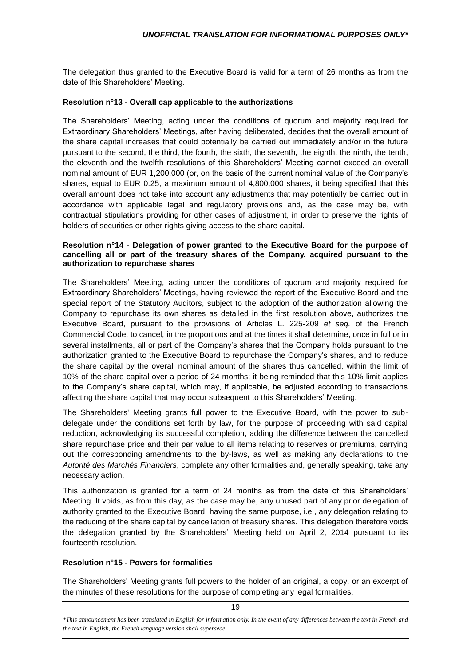The delegation thus granted to the Executive Board is valid for a term of 26 months as from the date of this Shareholders' Meeting.

## **Resolution n°13 - Overall cap applicable to the authorizations**

The Shareholders' Meeting, acting under the conditions of quorum and majority required for Extraordinary Shareholders' Meetings, after having deliberated, decides that the overall amount of the share capital increases that could potentially be carried out immediately and/or in the future pursuant to the second, the third, the fourth, the sixth, the seventh, the eighth, the ninth, the tenth, the eleventh and the twelfth resolutions of this Shareholders' Meeting cannot exceed an overall nominal amount of EUR 1,200,000 (or, on the basis of the current nominal value of the Company's shares, equal to EUR 0.25, a maximum amount of 4,800,000 shares, it being specified that this overall amount does not take into account any adjustments that may potentially be carried out in accordance with applicable legal and regulatory provisions and, as the case may be, with contractual stipulations providing for other cases of adjustment, in order to preserve the rights of holders of securities or other rights giving access to the share capital.

#### **Resolution n°14 - Delegation of power granted to the Executive Board for the purpose of cancelling all or part of the treasury shares of the Company, acquired pursuant to the authorization to repurchase shares**

The Shareholders' Meeting, acting under the conditions of quorum and majority required for Extraordinary Shareholders' Meetings, having reviewed the report of the Executive Board and the special report of the Statutory Auditors, subject to the adoption of the authorization allowing the Company to repurchase its own shares as detailed in the first resolution above, authorizes the Executive Board, pursuant to the provisions of Articles L. 225-209 *et seq.* of the French Commercial Code, to cancel, in the proportions and at the times it shall determine, once in full or in several installments, all or part of the Company's shares that the Company holds pursuant to the authorization granted to the Executive Board to repurchase the Company's shares, and to reduce the share capital by the overall nominal amount of the shares thus cancelled, within the limit of 10% of the share capital over a period of 24 months; it being reminded that this 10% limit applies to the Company's share capital, which may, if applicable, be adjusted according to transactions affecting the share capital that may occur subsequent to this Shareholders' Meeting.

The Shareholders' Meeting grants full power to the Executive Board, with the power to subdelegate under the conditions set forth by law, for the purpose of proceeding with said capital reduction, acknowledging its successful completion, adding the difference between the cancelled share repurchase price and their par value to all items relating to reserves or premiums, carrying out the corresponding amendments to the by-laws, as well as making any declarations to the *Autorité des Marchés Financiers*, complete any other formalities and, generally speaking, take any necessary action.

This authorization is granted for a term of 24 months as from the date of this Shareholders' Meeting. It voids, as from this day, as the case may be, any unused part of any prior delegation of authority granted to the Executive Board, having the same purpose, i.e., any delegation relating to the reducing of the share capital by cancellation of treasury shares. This delegation therefore voids the delegation granted by the Shareholders' Meeting held on April 2, 2014 pursuant to its fourteenth resolution.

# **Resolution n°15 - Powers for formalities**

The Shareholders' Meeting grants full powers to the holder of an original, a copy, or an excerpt of the minutes of these resolutions for the purpose of completing any legal formalities.

*<sup>\*</sup>This announcement has been translated in English for information only. In the event of any differences between the text in French and the text in English, the French language version shall supersede*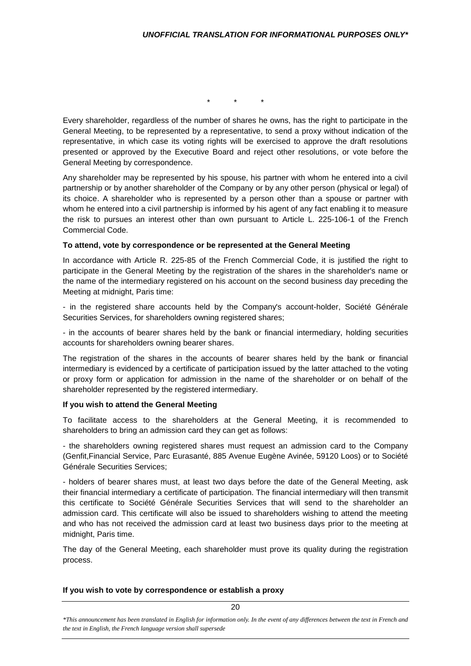\* \* \*

Every shareholder, regardless of the number of shares he owns, has the right to participate in the General Meeting, to be represented by a representative, to send a proxy without indication of the representative, in which case its voting rights will be exercised to approve the draft resolutions presented or approved by the Executive Board and reject other resolutions, or vote before the General Meeting by correspondence.

Any shareholder may be represented by his spouse, his partner with whom he entered into a civil partnership or by another shareholder of the Company or by any other person (physical or legal) of its choice. A shareholder who is represented by a person other than a spouse or partner with whom he entered into a civil partnership is informed by his agent of any fact enabling it to measure the risk to pursues an interest other than own pursuant to Article L. 225-106-1 of the French Commercial Code.

#### **To attend, vote by correspondence or be represented at the General Meeting**

In accordance with Article R. 225-85 of the French Commercial Code, it is justified the right to participate in the General Meeting by the registration of the shares in the shareholder's name or the name of the intermediary registered on his account on the second business day preceding the Meeting at midnight, Paris time:

- in the registered share accounts held by the Company's account-holder, Société Générale Securities Services, for shareholders owning registered shares;

- in the accounts of bearer shares held by the bank or financial intermediary, holding securities accounts for shareholders owning bearer shares.

The registration of the shares in the accounts of bearer shares held by the bank or financial intermediary is evidenced by a certificate of participation issued by the latter attached to the voting or proxy form or application for admission in the name of the shareholder or on behalf of the shareholder represented by the registered intermediary.

## **If you wish to attend the General Meeting**

To facilitate access to the shareholders at the General Meeting, it is recommended to shareholders to bring an admission card they can get as follows:

- the shareholders owning registered shares must request an admission card to the Company (Genfit,Financial Service, Parc Eurasanté, 885 Avenue Eugène Avinée, 59120 Loos) or to Société Générale Securities Services;

- holders of bearer shares must, at least two days before the date of the General Meeting, ask their financial intermediary a certificate of participation. The financial intermediary will then transmit this certificate to Société Générale Securities Services that will send to the shareholder an admission card. This certificate will also be issued to shareholders wishing to attend the meeting and who has not received the admission card at least two business days prior to the meeting at midnight, Paris time.

The day of the General Meeting, each shareholder must prove its quality during the registration process.

## **If you wish to vote by correspondence or establish a proxy**

*\*This announcement has been translated in English for information only. In the event of any differences between the text in French and the text in English, the French language version shall supersede*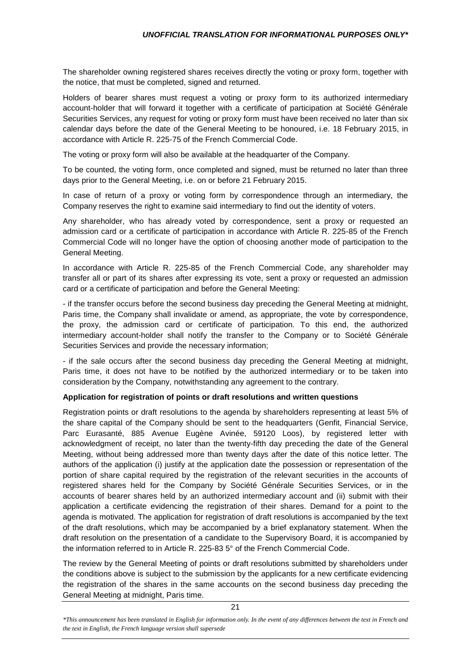The shareholder owning registered shares receives directly the voting or proxy form, together with the notice, that must be completed, signed and returned.

Holders of bearer shares must request a voting or proxy form to its authorized intermediary account-holder that will forward it together with a certificate of participation at Société Générale Securities Services, any request for voting or proxy form must have been received no later than six calendar days before the date of the General Meeting to be honoured, i.e. 18 February 2015, in accordance with Article R. 225-75 of the French Commercial Code.

The voting or proxy form will also be available at the headquarter of the Company.

To be counted, the voting form, once completed and signed, must be returned no later than three days prior to the General Meeting, i.e. on or before 21 February 2015.

In case of return of a proxy or voting form by correspondence through an intermediary, the Company reserves the right to examine said intermediary to find out the identity of voters.

Any shareholder, who has already voted by correspondence, sent a proxy or requested an admission card or a certificate of participation in accordance with Article R. 225-85 of the French Commercial Code will no longer have the option of choosing another mode of participation to the General Meeting.

In accordance with Article R. 225-85 of the French Commercial Code, any shareholder may transfer all or part of its shares after expressing its vote, sent a proxy or requested an admission card or a certificate of participation and before the General Meeting:

- if the transfer occurs before the second business day preceding the General Meeting at midnight, Paris time, the Company shall invalidate or amend, as appropriate, the vote by correspondence, the proxy, the admission card or certificate of participation. To this end, the authorized intermediary account-holder shall notify the transfer to the Company or to Société Générale Securities Services and provide the necessary information;

- if the sale occurs after the second business day preceding the General Meeting at midnight, Paris time, it does not have to be notified by the authorized intermediary or to be taken into consideration by the Company, notwithstanding any agreement to the contrary.

# **Application for registration of points or draft resolutions and written questions**

Registration points or draft resolutions to the agenda by shareholders representing at least 5% of the share capital of the Company should be sent to the headquarters (Genfit, Financial Service, Parc Eurasanté, 885 Avenue Eugène Avinée, 59120 Loos), by registered letter with acknowledgment of receipt, no later than the twenty-fifth day preceding the date of the General Meeting, without being addressed more than twenty days after the date of this notice letter. The authors of the application (i) justify at the application date the possession or representation of the portion of share capital required by the registration of the relevant securities in the accounts of registered shares held for the Company by Société Générale Securities Services, or in the accounts of bearer shares held by an authorized intermediary account and (ii) submit with their application a certificate evidencing the registration of their shares. Demand for a point to the agenda is motivated. The application for registration of draft resolutions is accompanied by the text of the draft resolutions, which may be accompanied by a brief explanatory statement. When the draft resolution on the presentation of a candidate to the Supervisory Board, it is accompanied by the information referred to in Article R. 225-83 5° of the French Commercial Code.

The review by the General Meeting of points or draft resolutions submitted by shareholders under the conditions above is subject to the submission by the applicants for a new certificate evidencing the registration of the shares in the same accounts on the second business day preceding the General Meeting at midnight, Paris time.

*<sup>\*</sup>This announcement has been translated in English for information only. In the event of any differences between the text in French and the text in English, the French language version shall supersede*